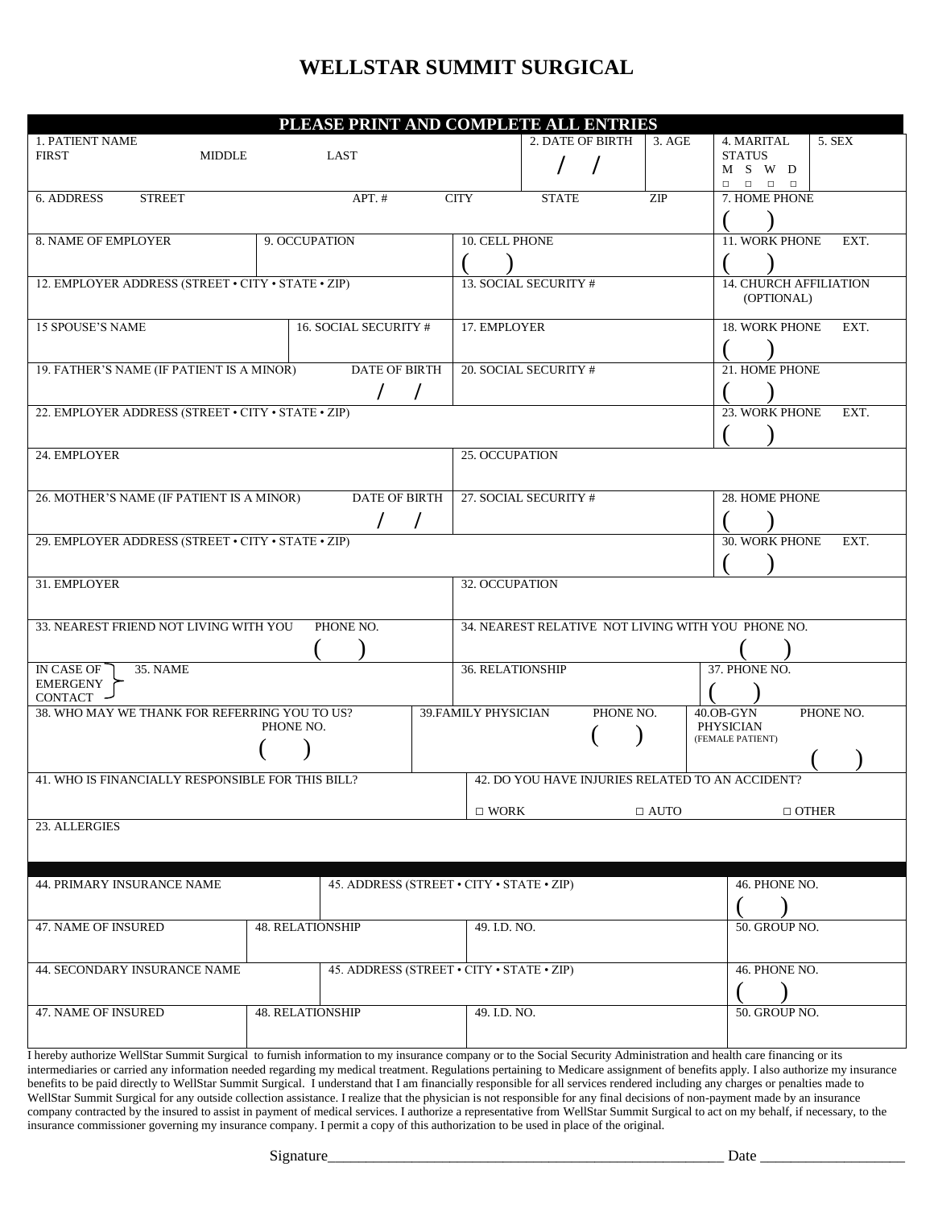## **WELLSTAR SUMMIT SURGICAL**

| PLEASE PRINT AND COMPLETE ALL ENTRIES                                                                                                                                                                                                                                                                                                                   |                                               |                      |                                           |                                                    |                             |           |                                      |                                                                                                   |  |  |  |
|---------------------------------------------------------------------------------------------------------------------------------------------------------------------------------------------------------------------------------------------------------------------------------------------------------------------------------------------------------|-----------------------------------------------|----------------------|-------------------------------------------|----------------------------------------------------|-----------------------------|-----------|--------------------------------------|---------------------------------------------------------------------------------------------------|--|--|--|
| <b>1. PATIENT NAME</b>                                                                                                                                                                                                                                                                                                                                  |                                               |                      |                                           | 2. DATE OF BIRTH<br>3. AGE                         |                             |           |                                      | 5. SEX<br>4. MARITAL                                                                              |  |  |  |
| <b>FIRST</b><br><b>MIDDLE</b>                                                                                                                                                                                                                                                                                                                           |                                               | LAST                 |                                           |                                                    |                             |           |                                      | <b>STATUS</b>                                                                                     |  |  |  |
|                                                                                                                                                                                                                                                                                                                                                         |                                               |                      |                                           |                                                    |                             |           |                                      | M S W D<br>$\begin{array}{ccccccccccccccccc} \Box & \Box & \Box & \Box & \Box & \Box \end{array}$ |  |  |  |
| 6. ADDRESS<br><b>STREET</b>                                                                                                                                                                                                                                                                                                                             | <b>CITY</b>                                   | <b>STATE</b>         |                                           | 7. HOME PHONE                                      |                             |           |                                      |                                                                                                   |  |  |  |
|                                                                                                                                                                                                                                                                                                                                                         |                                               |                      |                                           |                                                    |                             |           |                                      |                                                                                                   |  |  |  |
| 8. NAME OF EMPLOYER<br>9. OCCUPATION                                                                                                                                                                                                                                                                                                                    |                                               |                      |                                           | <b>10. CELL PHONE</b>                              |                             |           | <b>11. WORK PHONE</b><br>EXT.        |                                                                                                   |  |  |  |
|                                                                                                                                                                                                                                                                                                                                                         |                                               |                      |                                           |                                                    |                             |           |                                      |                                                                                                   |  |  |  |
|                                                                                                                                                                                                                                                                                                                                                         |                                               |                      |                                           |                                                    |                             |           |                                      |                                                                                                   |  |  |  |
| 12. EMPLOYER ADDRESS (STREET • CITY • STATE • ZIP)                                                                                                                                                                                                                                                                                                      |                                               |                      |                                           |                                                    | 13. SOCIAL SECURITY #       |           | <b>14. CHURCH AFFILIATION</b>        |                                                                                                   |  |  |  |
|                                                                                                                                                                                                                                                                                                                                                         |                                               |                      |                                           |                                                    |                             |           | (OPTIONAL)                           |                                                                                                   |  |  |  |
| <b>15 SPOUSE'S NAME</b><br><b>16. SOCIAL SECURITY #</b>                                                                                                                                                                                                                                                                                                 |                                               |                      |                                           | 17. EMPLOYER                                       |                             |           |                                      | <b>18. WORK PHONE</b><br>EXT.                                                                     |  |  |  |
|                                                                                                                                                                                                                                                                                                                                                         |                                               |                      |                                           |                                                    |                             |           |                                      |                                                                                                   |  |  |  |
| <b>DATE OF BIRTH</b>                                                                                                                                                                                                                                                                                                                                    |                                               |                      |                                           |                                                    | 20. SOCIAL SECURITY #       |           | 21. HOME PHONE                       |                                                                                                   |  |  |  |
| 19. FATHER'S NAME (IF PATIENT IS A MINOR)                                                                                                                                                                                                                                                                                                               |                                               |                      |                                           |                                                    |                             |           |                                      |                                                                                                   |  |  |  |
|                                                                                                                                                                                                                                                                                                                                                         |                                               |                      |                                           |                                                    |                             |           |                                      |                                                                                                   |  |  |  |
| 22. EMPLOYER ADDRESS (STREET . CITY . STATE . ZIP)                                                                                                                                                                                                                                                                                                      |                                               |                      |                                           |                                                    |                             |           | 23. WORK PHONE<br>EXT.               |                                                                                                   |  |  |  |
|                                                                                                                                                                                                                                                                                                                                                         |                                               |                      |                                           |                                                    |                             |           |                                      |                                                                                                   |  |  |  |
| 24. EMPLOYER                                                                                                                                                                                                                                                                                                                                            |                                               |                      |                                           | 25. OCCUPATION                                     |                             |           |                                      |                                                                                                   |  |  |  |
|                                                                                                                                                                                                                                                                                                                                                         |                                               |                      |                                           |                                                    |                             |           |                                      |                                                                                                   |  |  |  |
| 26. MOTHER'S NAME (IF PATIENT IS A MINOR)                                                                                                                                                                                                                                                                                                               |                                               | <b>DATE OF BIRTH</b> |                                           | 27. SOCIAL SECURITY #                              |                             |           | 28. HOME PHONE                       |                                                                                                   |  |  |  |
|                                                                                                                                                                                                                                                                                                                                                         |                                               |                      |                                           |                                                    |                             |           |                                      |                                                                                                   |  |  |  |
|                                                                                                                                                                                                                                                                                                                                                         |                                               |                      |                                           |                                                    |                             |           |                                      |                                                                                                   |  |  |  |
| 29. EMPLOYER ADDRESS (STREET · CITY · STATE · ZIP)                                                                                                                                                                                                                                                                                                      |                                               |                      |                                           |                                                    |                             |           | 30. WORK PHONE<br>EXT.               |                                                                                                   |  |  |  |
|                                                                                                                                                                                                                                                                                                                                                         |                                               |                      |                                           |                                                    |                             |           |                                      |                                                                                                   |  |  |  |
| 31. EMPLOYER                                                                                                                                                                                                                                                                                                                                            |                                               |                      |                                           | 32. OCCUPATION                                     |                             |           |                                      |                                                                                                   |  |  |  |
|                                                                                                                                                                                                                                                                                                                                                         |                                               |                      |                                           |                                                    |                             |           |                                      |                                                                                                   |  |  |  |
| 33. NEAREST FRIEND NOT LIVING WITH YOU                                                                                                                                                                                                                                                                                                                  |                                               | PHONE NO.            |                                           | 34. NEAREST RELATIVE NOT LIVING WITH YOU PHONE NO. |                             |           |                                      |                                                                                                   |  |  |  |
|                                                                                                                                                                                                                                                                                                                                                         |                                               |                      |                                           |                                                    |                             |           |                                      |                                                                                                   |  |  |  |
|                                                                                                                                                                                                                                                                                                                                                         |                                               |                      |                                           |                                                    |                             |           |                                      |                                                                                                   |  |  |  |
| IN CASE OF<br><b>35. NAME</b>                                                                                                                                                                                                                                                                                                                           |                                               |                      |                                           | <b>36. RELATIONSHIP</b>                            |                             |           | 37. PHONE NO.                        |                                                                                                   |  |  |  |
| <b>EMERGENY</b><br>CONTACT                                                                                                                                                                                                                                                                                                                              |                                               |                      |                                           |                                                    |                             |           |                                      |                                                                                                   |  |  |  |
|                                                                                                                                                                                                                                                                                                                                                         | 38. WHO MAY WE THANK FOR REFERRING YOU TO US? |                      |                                           |                                                    | <b>39. FAMILY PHYSICIAN</b> | PHONE NO. | PHONE NO.<br>$40.0B-GYN$             |                                                                                                   |  |  |  |
| PHONE NO.                                                                                                                                                                                                                                                                                                                                               |                                               |                      |                                           |                                                    |                             |           | <b>PHYSICIAN</b><br>(FEMALE PATIENT) |                                                                                                   |  |  |  |
|                                                                                                                                                                                                                                                                                                                                                         |                                               |                      |                                           |                                                    |                             |           |                                      |                                                                                                   |  |  |  |
|                                                                                                                                                                                                                                                                                                                                                         |                                               |                      |                                           |                                                    |                             |           |                                      |                                                                                                   |  |  |  |
| 41. WHO IS FINANCIALLY RESPONSIBLE FOR THIS BILL?<br>42. DO YOU HAVE INJURIES RELATED TO AN ACCIDENT?                                                                                                                                                                                                                                                   |                                               |                      |                                           |                                                    |                             |           |                                      |                                                                                                   |  |  |  |
|                                                                                                                                                                                                                                                                                                                                                         | $\Box$ OTHER<br>$\Box$ WORK<br>$\Box$ AUTO    |                      |                                           |                                                    |                             |           |                                      |                                                                                                   |  |  |  |
| 23. ALLERGIES                                                                                                                                                                                                                                                                                                                                           |                                               |                      |                                           |                                                    |                             |           |                                      |                                                                                                   |  |  |  |
|                                                                                                                                                                                                                                                                                                                                                         |                                               |                      |                                           |                                                    |                             |           |                                      |                                                                                                   |  |  |  |
|                                                                                                                                                                                                                                                                                                                                                         |                                               |                      |                                           |                                                    |                             |           |                                      |                                                                                                   |  |  |  |
| 44. PRIMARY INSURANCE NAME<br>45. ADDRESS (STREET • CITY • STATE • ZIP)                                                                                                                                                                                                                                                                                 |                                               |                      |                                           |                                                    |                             |           | 46. PHONE NO.                        |                                                                                                   |  |  |  |
|                                                                                                                                                                                                                                                                                                                                                         |                                               |                      |                                           |                                                    |                             |           |                                      |                                                                                                   |  |  |  |
| <b>48. RELATIONSHIP</b><br>47. NAME OF INSURED                                                                                                                                                                                                                                                                                                          |                                               |                      |                                           | 49. I.D. NO.                                       |                             |           |                                      | 50. GROUP NO.                                                                                     |  |  |  |
|                                                                                                                                                                                                                                                                                                                                                         |                                               |                      |                                           |                                                    |                             |           |                                      |                                                                                                   |  |  |  |
|                                                                                                                                                                                                                                                                                                                                                         |                                               |                      |                                           |                                                    |                             |           |                                      |                                                                                                   |  |  |  |
| 44. SECONDARY INSURANCE NAME                                                                                                                                                                                                                                                                                                                            |                                               |                      | 45. ADDRESS (STREET • CITY • STATE • ZIP) |                                                    |                             |           | 46. PHONE NO.                        |                                                                                                   |  |  |  |
|                                                                                                                                                                                                                                                                                                                                                         |                                               |                      |                                           |                                                    |                             |           |                                      |                                                                                                   |  |  |  |
| 47. NAME OF INSURED                                                                                                                                                                                                                                                                                                                                     | 48. RELATIONSHIP                              |                      |                                           | 49. I.D. NO.                                       |                             |           |                                      | 50. GROUP NO.                                                                                     |  |  |  |
|                                                                                                                                                                                                                                                                                                                                                         |                                               |                      |                                           |                                                    |                             |           |                                      |                                                                                                   |  |  |  |
|                                                                                                                                                                                                                                                                                                                                                         |                                               |                      |                                           |                                                    |                             |           |                                      |                                                                                                   |  |  |  |
| I hereby authorize WellStar Summit Surgical to furnish information to my insurance company or to the Social Security Administration and health care financing or its<br>intermediaries or carried any information needed regarding my medical treatment. Regulations pertaining to Medicare assignment of benefits apply. I also authorize my insurance |                                               |                      |                                           |                                                    |                             |           |                                      |                                                                                                   |  |  |  |

benefits to be paid directly to WellStar Summit Surgical. I understand that I am financially responsible for all services rendered including any charges or penalties made to WellStar Summit Surgical for any outside collection assistance. I realize that the physician is not responsible for any final decisions of non-payment made by an insurance company contracted by the insured to assist in payment of medical services. I authorize a representative from WellStar Summit Surgical to act on my behalf, if necessary, to the insurance commissioner governing my insurance company. I permit a copy of this authorization to be used in place of the original.